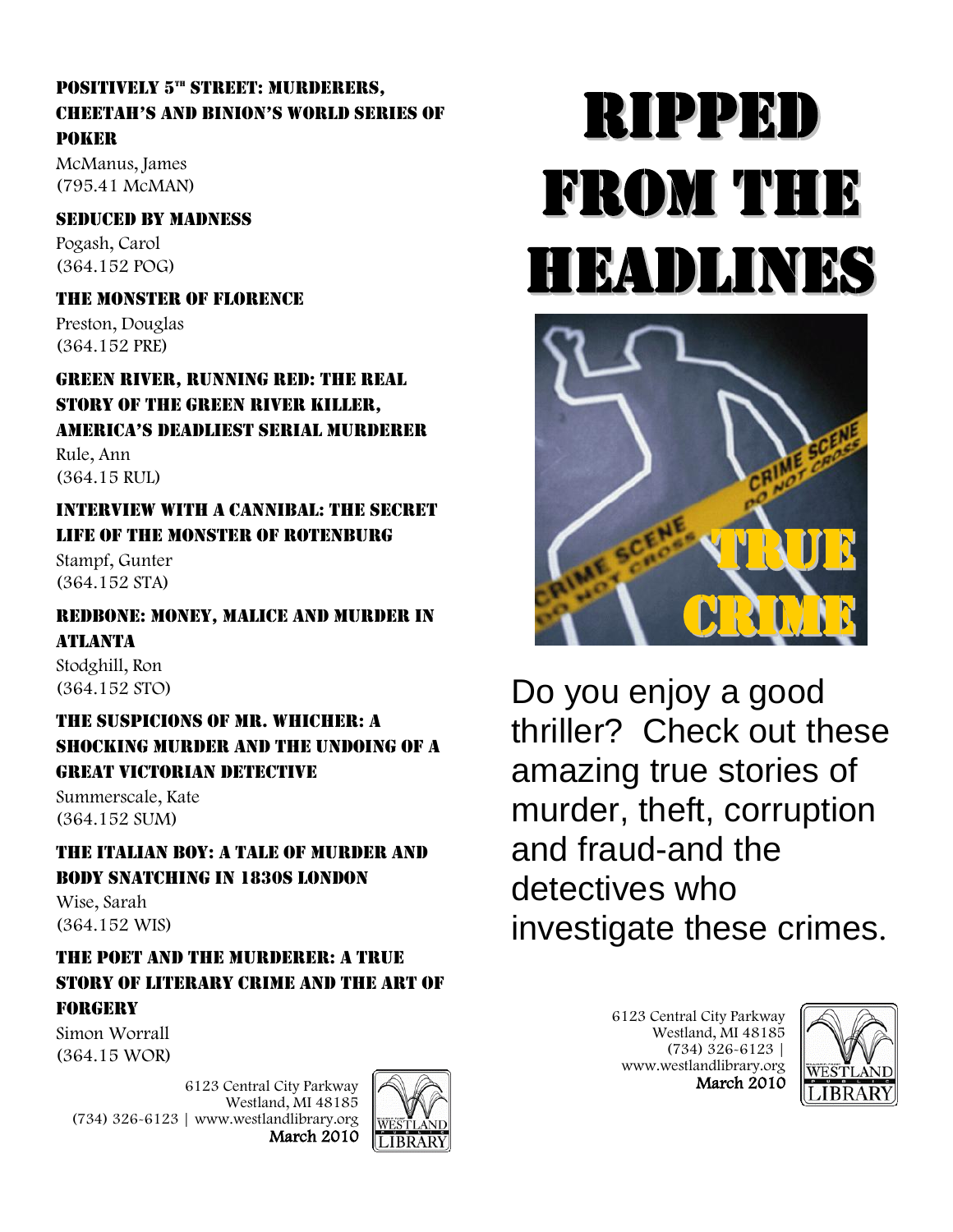# POSITIVELY 5<sup>th</sup> STREET: MURDERERS, CHEEtaH's anD BInIon's worlD sErIEs oF Poker

McManus, James (795.41 McMAN)

# Seduced by Madness

Pogash, Carol (364.152 POG)

The Monster of Florence

Preston, Douglas (364.152 PRE)

Green River, Running Red: the Real Story of the Green River Killer, amErICa's DEaDlIEst sErIal murDErEr

Rule, Ann (364.15 RUL)

## Interview with a Cannibal: the Secret Life of the Monster of Rotenburg

Stampf, Gunter (364.152 STA)

#### Redbone: Money, Malice and Murder in **ATLANTA**

Stodghill, Ron (364.152 STO)

# The Suspicions of Mr. Whicher: a Shocking Murder and the Undoing of a Great Victorian Detective

Summerscale, Kate (364.152 SUM)

The Italian Boy: a Tale of Murder and Body Snatching in 1830s London

Wise, Sarah (364.152 WIS)

# The Poet and the Murderer: a True Story of Literary Crime and the Art of Forgery

Simon Worrall (364.15 WOR)

> 6123 Central City Parkway Westland, MI 48185 (734) 326-6123 | www.westlandlibrary.org March 2010



# Ripped from the headlines



Do you enjoy a good thriller? Check out these amazing true stories of murder, theft, corruption and fraud-and the detectives who investigate these crimes.

> 6123 Central City Parkway Westland, MI 48185 (734) 326-6123 | www.westlandlibrary.org March 2010